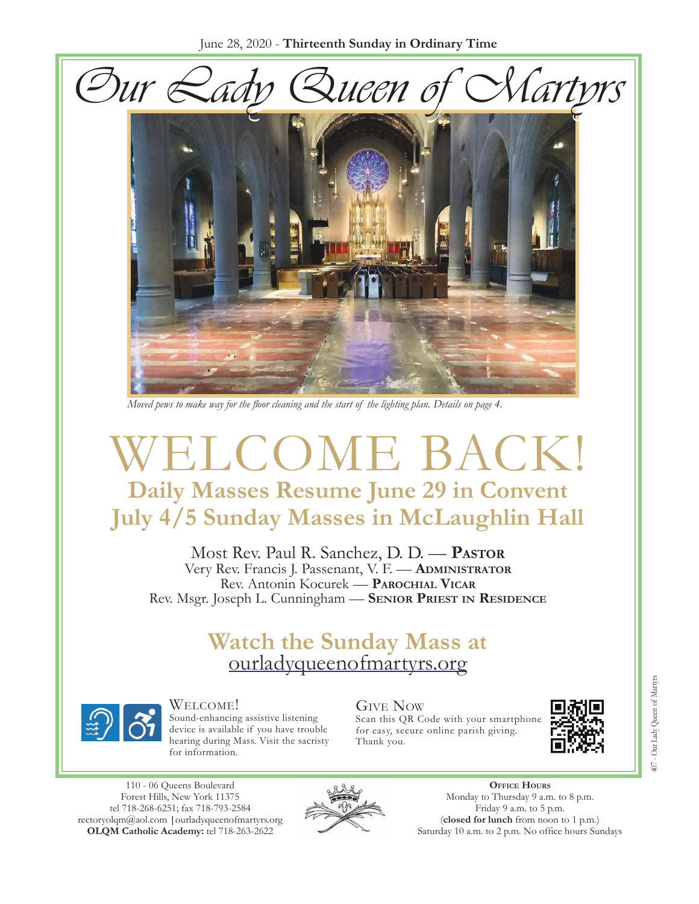June 28, 2020 - **Thirteenth Sunday in Ordinary Time**





*Moved pews to make way for the floor cleaning and the start of the lighting plan. Details on page 4.*

# WELCOME BACK! **Daily Masses Resume June 29 in Convent July 4/5 Sunday Masses in McLaughlin Hall**

Most Rev. Paul R. Sanchez, D. D. — **Pastor** Very Rev. Francis J. Passenant, V. F. — **Administrator** Rev. Antonin Kocurek — **Parochial Vicar** Rev. Msgr. Joseph L. Cunningham — **Senior Priest in Residence**

# **Watch the Sunday Mass at**  [ourladyqueenofmartyrs.org](https://ourladyqueenofmartyrs.org/)



Welcome! Sound-enhancing assistive listening device is available if you have trouble hearing during Mass. Visit the sacristy for information.

Give Now Scan this QR Code with your smartphone for easy, secure online parish giving. Thank you.



110 - 06 Queens Boulevard Forest Hills, New York 11375 [tel 718-268-625](mailto:rectoryolqm@aol.com)[1; fax 718-793-2584](www.ourladyqueenofmartyrs.org) rectoryolqm@aol.com **|**ourladyqueenofmartyrs.org **OLQM Catholic Academy:** tel 718-263-2622



**Office Hours** Monday to Thursday 9 a.m. to 8 p.m. Friday 9 a.m. to 5 p.m. (**closed for lunch** from noon to 1 p.m.) Saturday 10 a.m. to 2 p.m. No office hours Sundays

407 - Our Lady Queen of Martyrs 407 - Our Lady Queen of Martyr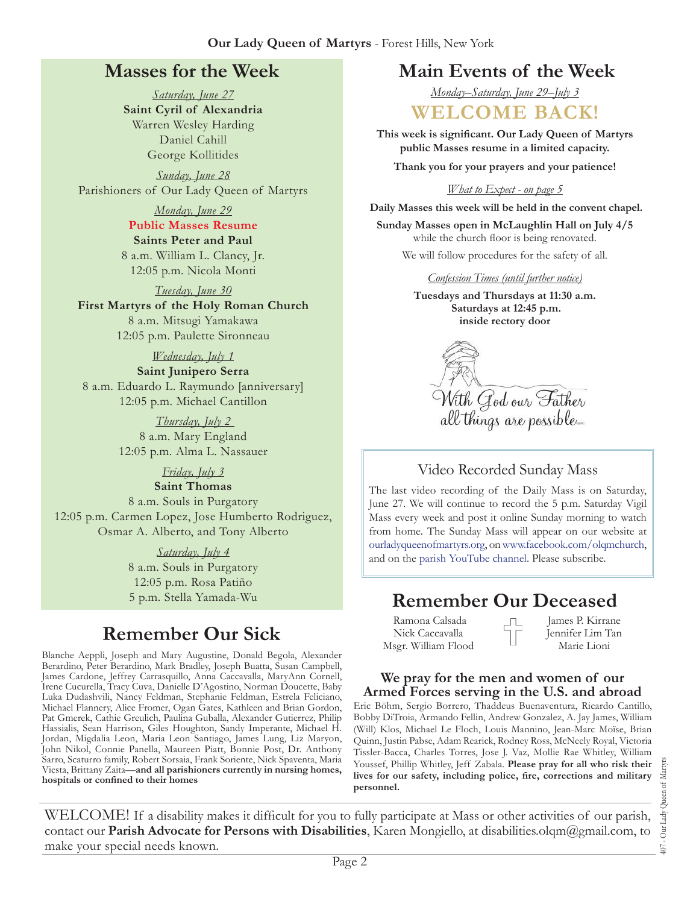## **Masses for the Week**

*Saturday, June 27* **Saint Cyril of Alexandria** Warren Wesley Harding Daniel Cahill George Kollitides

*Sunday, June 28* Parishioners of Our Lady Queen of Martyrs

#### *Monday, June 29*

**Public Masses Resume Saints Peter and Paul** 8 a.m. William L. Clancy, Jr. 12:05 p.m. Nicola Monti

*Tuesday, June 30* **First Martyrs of the Holy Roman Church** 8 a.m. Mitsugi Yamakawa 12:05 p.m. Paulette Sironneau

### *Wednesday, July 1*

**Saint Junipero Serra** 8 a.m. Eduardo L. Raymundo [anniversary] 12:05 p.m. Michael Cantillon

> *Thursday, July 2*  8 a.m. Mary England 12:05 p.m. Alma L. Nassauer

#### *Friday, July 3*

**Saint Thomas** 8 a.m. Souls in Purgatory 12:05 p.m. Carmen Lopez, Jose Humberto Rodriguez, Osmar A. Alberto, and Tony Alberto

> *Saturday, July 4* 8 a.m. Souls in Purgatory 12:05 p.m. Rosa Patiño

# **Remember Our Sick**

Blanche Aeppli, Joseph and Mary Augustine, Donald Begola, Alexander Berardino, Peter Berardino, Mark Bradley, Joseph Buatta, Susan Campbell, James Cardone, Jeffrey Carrasquillo, Anna Caccavalla, MaryAnn Cornell, Irene Cucurella, Tracy Cuva, Danielle D'Agostino, Norman Doucette, Baby Luka Dudashvili, Nancy Feldman, Stephanie Feldman, Estrela Feliciano, Michael Flannery, Alice Fromer, Ogan Gates, Kathleen and Brian Gordon, Pat Gmerek, Cathie Greulich, Paulina Guballa, Alexander Gutierrez, Philip Hassialis, Sean Harrison, Giles Houghton, Sandy Imperante, Michael H. Jordan, Migdalia Leon, Maria Leon Santiago, James Lung, Liz Maryon, John Nikol, Connie Panella, Maureen Piatt, Bonnie Post, Dr. Anthony Sarro, Scaturro family, Robert Sorsaia, Frank Soriente, Nick Spaventa, Maria Viesta, Brittany Zaita—**and all parishioners currently in nursing homes, hospitals or confined to their homes**

## **Main Events of the Week**

*Monday–Saturday, June 29–July 3*

## **WELCOME BACK!**

**This week is significant. Our Lady Queen of Martyrs public Masses resume in a limited capacity.** 

**Thank you for your prayers and your patience!**

#### *What to Expect - on page 5*

**Daily Masses this week will be held in the convent chapel.**

**Sunday Masses open in McLaughlin Hall on July 4/5**  while the church floor is being renovated.

We will follow procedures for the safety of all.

#### *Confession Times (until further notice)*

**Tuesdays and Thursdays at 11:30 a.m. Saturdays at 12:45 p.m. inside rectory door**

With God our Father<br>all things are possible

### Video Recorded Sunday Mass

The last video recording of the Daily Mass is on Saturday, June 27. We will continue to record the 5 p.m. Saturday Vigil Mass every week and post it online Sunday morning to watch from home. The Sunday Mass will appear on our website at [ourladyqueenofmartyrs.org,](https://ourladyqueenofmartyrs.org/) on [www.facebook.com/olqmchurch](https://www.facebook.com/OLQMChurch/), and on the [parish YouTube channel.](https://www.youtube.com/user/OLQMStewardship/videos?view=0&sort=dd&shelf_id=2) Please subscribe.

# 5 p.m. Stella Yamada-Wu **Remember Our Deceased**

 Ramona Calsada Nick Caccavalla Msgr. William Flood James P. Kirrane Jennifer Lim Tan Marie Lioni

#### **We pray for the men and women of our Armed Forces serving in the U.S. and abroad**

Eric Böhm, Sergio Borrero, Thaddeus Buenaventura, Ricardo Cantillo, Bobby DiTroia, Armando Fellin, Andrew Gonzalez, A. Jay James, William (Will) Klos, Michael Le Floch, Louis Mannino, Jean-Marc Moïse, Brian Quinn, Justin Pabse, Adam Rearick, Rodney Ross, McNeely Royal, Victoria Tissler-Bacca, Charles Torres, Jose J. Vaz, Mollie Rae Whitley, William Youssef, Phillip Whitley, Jeff Zabala. **Please pray for all who risk their lives for our safety, including police, fire, corrections and military personnel.**

407 - Our Lady Queen of Martyrs Our Lady Queen of Martyr:  $\overline{407}$ .

WELCOME! If a disability makes it difficult for you to fully participate at Mass or other activities of our parish, contact our **Parish Advocate for Persons with Disabilities**, Karen Mongiello, at disabilities.olgm@gmail.com, to make your special needs known.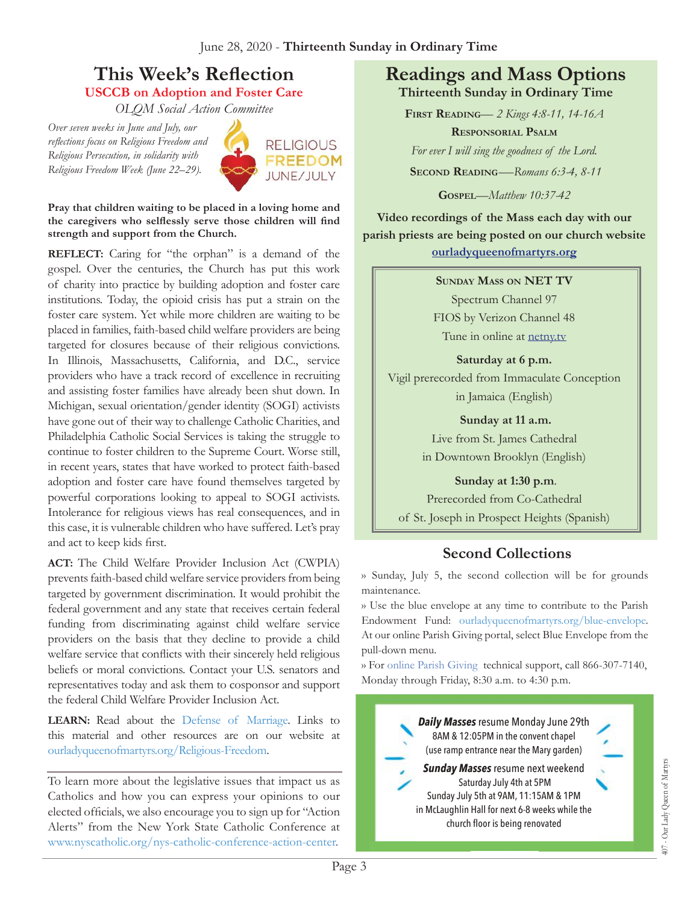## **This Week's Reflection USCCB on Adoption and Foster Care**

*OLQM Social Action Committee*

*Over seven weeks in June and July, our reflections focus on Religious Freedom and Religious Persecution, in solidarity with Religious Freedom Week (June 22–29).*



**Pray that children waiting to be placed in a loving home and the caregivers who selflessly serve those children will find strength and support from the Church.**

**REFLECT:** Caring for "the orphan" is a demand of the gospel. Over the centuries, the Church has put this work of charity into practice by building adoption and foster care institutions. Today, the opioid crisis has put a strain on the foster care system. Yet while more children are waiting to be placed in families, faith-based child welfare providers are being targeted for closures because of their religious convictions. In Illinois, Massachusetts, California, and D.C., service providers who have a track record of excellence in recruiting and assisting foster families have already been shut down. In Michigan, sexual orientation/gender identity (SOGI) activists have gone out of their way to challenge Catholic Charities, and Philadelphia Catholic Social Services is taking the struggle to continue to foster children to the Supreme Court. Worse still, in recent years, states that have worked to protect faith-based adoption and foster care have found themselves targeted by powerful corporations looking to appeal to SOGI activists. Intolerance for religious views has real consequences, and in this case, it is vulnerable children who have suffered. Let's pray and act to keep kids first.

**ACT:** The Child Welfare Provider Inclusion Act (CWPIA) prevents faith-based child welfare service providers from being targeted by government discrimination. It would prohibit the federal government and any state that receives certain federal funding from discriminating against child welfare service providers on the basis that they decline to provide a child welfare service that conflicts with their sincerely held religious beliefs or moral convictions. Contact your U.S. senators and representatives today and ask them to cosponsor and support the federal Child Welfare Provider Inclusion Act.

**LEARN:** Read about the [Defense of Marriage](https://bit.ly/2TBCMml). Links to this material and other resources are on our website at [ourladyqueenofmartyrs.org/Religious-Freedom.](https://ourladyqueenofmartyrs.org/religious-freedom/)

To learn more about the legislative issues that impact us as Catholics and how you can express your opinions to our elected officials, we also encourage you to sign up for "Action Alerts" from the New York State Catholic Conference at [www.nyscatholic.org/nys-catholic-conference-action-center](https://www.nyscatholic.org/nys-catholic-conference-action-center).

## **Readings and Mass Options Thirteenth Sunday in Ordinary Time**

**First Reading***— 2 Kings 4:8-11, 14-16A* **Responsorial Psalm** *For ever I will sing the goodness of the Lord.* **Second Reading***-—Romans 6:3-4, 8-11*

**Gospel***—Matthew 10:37-42*

**Video recordings of the Mass each day with our parish priests are being posted on our church website [ourladyqueenofmartyrs.org](https://ourladyqueenofmartyrs.org)**

#### **Sunday Mass on NET TV**

Spectrum Channel 97 FIOS by Verizon Channel 48 Tune in online at **[netny.tv](https://netny.tv/)** 

**Saturday at 6 p.m.**  Vigil prerecorded from Immaculate Conception in Jamaica (English)

> **Sunday at 11 a.m.**  Live from St. James Cathedral in Downtown Brooklyn (English)

#### **Sunday at 1:30 p.m**.

Prerecorded from Co-Cathedral of St. Joseph in Prospect Heights (Spanish)

## **Second Collections**

›› Sunday, July 5, the second collection will be for grounds maintenance.

›› Use the blue envelope at any time to contribute to the Parish Endowment Fund: [ourladyqueenofmartyrs.org/blue-envelope.](https://ourladyqueenofmartyrs.org/blue-envelope/) At our online Parish Giving portal, select Blue Envelope from the pull-down menu.

›› For [online Parish Giving](https://ourladyqueenofmartyrs.org/parish-giving/) technical support, call 866-307-7140, Monday through Friday, 8:30 a.m. to 4:30 p.m.

> *Daily Masses* resume Monday June 29th 8AM & 12:05PM in the convent chapel (use ramp entrance near the Mary garden)

#### *Sunday Masses* resume next weekend Saturday July 4th at 5PM Sunday July 5th at 9AM, 11:15AM & 1PM in McLaughlin Hall for next 6-8 weeks while the church floor is being renovated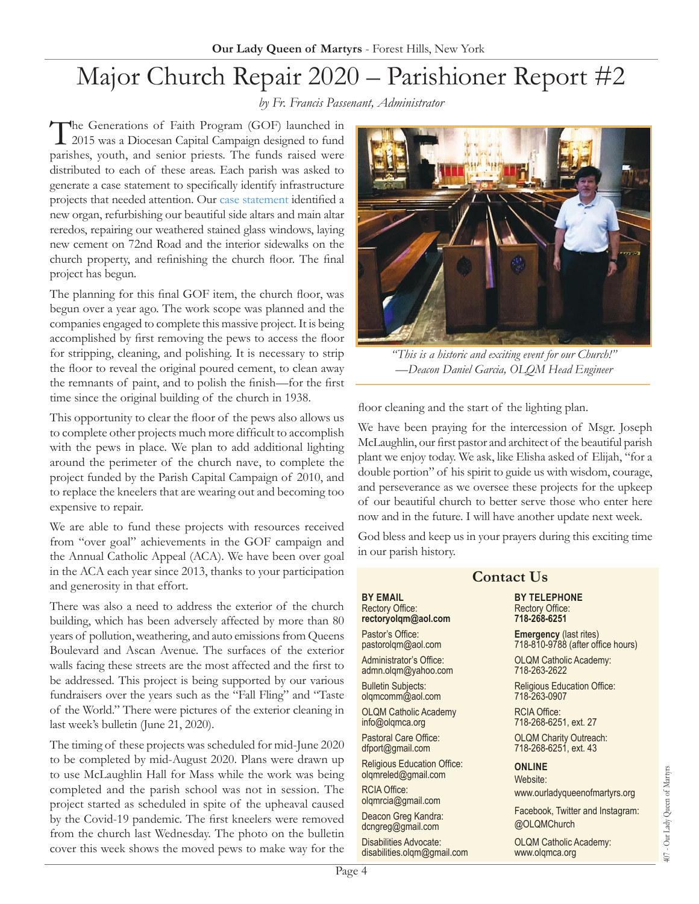# Major Church Repair 2020 – Parishioner Report #2

*by Fr. Francis Passenant, Administrator*

The Generations of Faith Program (GOF) launched in 2015 was a Diocesan Capital Campaign designed to fund parishes, youth, and senior priests. The funds raised were distributed to each of these areas. Each parish was asked to generate a case statement to specifically identify infrastructure projects that needed attention. Our [case statement](https://ourladyqueenofmartyrs.org/wp-content/uploads/OLQM_Case-Statement_Final.pdf) identified a new organ, refurbishing our beautiful side altars and main altar reredos, repairing our weathered stained glass windows, laying new cement on 72nd Road and the interior sidewalks on the church property, and refinishing the church floor. The final project has begun.

The planning for this final GOF item, the church floor, was begun over a year ago. The work scope was planned and the companies engaged to complete this massive project. It is being accomplished by first removing the pews to access the floor for stripping, cleaning, and polishing. It is necessary to strip the floor to reveal the original poured cement, to clean away the remnants of paint, and to polish the finish—for the first time since the original building of the church in 1938.

This opportunity to clear the floor of the pews also allows us to complete other projects much more difficult to accomplish with the pews in place. We plan to add additional lighting around the perimeter of the church nave, to complete the project funded by the Parish Capital Campaign of 2010, and to replace the kneelers that are wearing out and becoming too expensive to repair.

We are able to fund these projects with resources received from "over goal" achievements in the GOF campaign and the Annual Catholic Appeal (ACA). We have been over goal in the ACA each year since 2013, thanks to your participation and generosity in that effort.

There was also a need to address the exterior of the church building, which has been adversely affected by more than 8 years of pollution, weathering, and auto emissions from Queens Boulevard and Ascan Avenue. The surfaces of the exterior walls facing these streets are the most affected and the first be addressed. This project is being supported by our various fundraisers over the years such as the "Fall Fling" and "Tas of the World." There were pictures of the exterior cleaning last week's bulletin (June 21, 2020).

The timing of these projects was scheduled for mid-June 202 to be completed by mid-August 2020. Plans were drawn u to use McLaughlin Hall for Mass while the work was being completed and the parish school was not in session. The project started as scheduled in spite of the upheaval cause by the Covid-19 pandemic. The first kneelers were remove from the church last Wednesday. The photo on the bullet cover this week shows the moved pews to make way for the



*"  This is a historic and exciting event for our Church!" —Deacon Daniel Garcia, OLQM Head Engineer*

floor cleaning and the start of the lighting plan.

We have been praying for the intercession of Msgr. Joseph McLaughlin, our first pastor and architect of the beautiful parish plant we enjoy today. We ask, like Elisha asked of Elijah, "for a double portion" of his spirit to guide us with wisdom, courage, and perseverance as we oversee these projects for the upkeep of our beautiful church to better serve those who enter here now and in the future. I will have another update next week.

God bless and keep us in your prayers during this exciting time in our parish history.

| 'n                  | <b>Contact Us</b>                                                |                                                                    |
|---------------------|------------------------------------------------------------------|--------------------------------------------------------------------|
| ch.<br>30           | <b>BY EMAIL</b><br><b>Rectory Office:</b><br>rectoryolgm@aol.com | <b>BY TELEPHONE</b><br><b>Rectory Office:</b><br>718-268-6251      |
| ns<br>Οr            | Pastor's Office:<br>pastorolgm@aol.com                           | <b>Emergency (last rites)</b><br>718-810-9788 (after office hours) |
| to                  | Administrator's Office:<br>admn.olqm@yahoo.com                   | <b>OLQM Catholic Academy:</b><br>718-263-2622                      |
| us<br>te            | <b>Bulletin Subjects:</b><br>olqmcomm@aol.com                    | <b>Religious Education Office:</b><br>718-263-0907                 |
| 111                 | <b>OLQM Catholic Academy</b><br>info@olgmca.org                  | <b>RCIA Office:</b><br>718-268-6251, ext. 27                       |
| 20                  | Pastoral Care Office:<br>dfport@gmail.com                        | <b>OLQM Charity Outreach:</b><br>718-268-6251, ext. 43             |
| ıp<br>ıg            | <b>Religious Education Office:</b><br>olgmreled@gmail.com        | <b>ONLINE</b><br>Website:                                          |
| <sub>1e</sub><br>эd | <b>RCIA Office:</b><br>olgmrcia@gmail.com                        | www.ourladyqueenofmartyrs.org                                      |
| эd                  | Deacon Greg Kandra:<br>dcngreg@gmail.com                         | Facebook, Twitter and Instagram:<br>@OLQMChurch                    |
| 1n<br>1e            | Disabilities Advocate:<br>disabilities.olgm@gmail.com            | <b>OLQM Catholic Academy:</b><br>www.olgmca.org                    |
| Page 4              |                                                                  |                                                                    |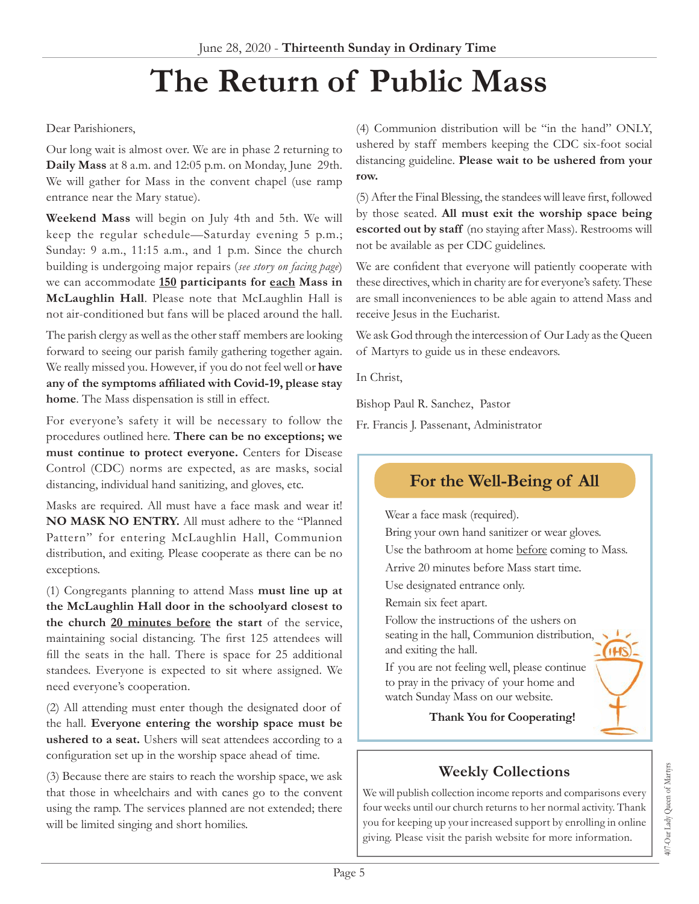# **The Return of Public Mass**

#### Dear Parishioners,

Our long wait is almost over. We are in phase 2 returning to **Daily Mass** at 8 a.m. and 12:05 p.m. on Monday, June 29th. We will gather for Mass in the convent chapel (use ramp entrance near the Mary statue).

**Weekend Mass** will begin on July 4th and 5th. We will keep the regular schedule—Saturday evening 5 p.m.; Sunday: 9 a.m., 11:15 a.m., and 1 p.m. Since the church building is undergoing major repairs (*see story on facing page*) we can accommodate **150 participants for each Mass in McLaughlin Hall**. Please note that McLaughlin Hall is not air-conditioned but fans will be placed around the hall.

The parish clergy as well as the other staff members are looking forward to seeing our parish family gathering together again. We really missed you. However, if you do not feel well or **have any of the symptoms affiliated with Covid-19, please stay home**. The Mass dispensation is still in effect.

For everyone's safety it will be necessary to follow the procedures outlined here. **There can be no exceptions; we must continue to protect everyone.** Centers for Disease Control (CDC) norms are expected, as are masks, social distancing, individual hand sanitizing, and gloves, etc.

Masks are required. All must have a face mask and wear it! **NO MASK NO ENTRY.** All must adhere to the "Planned Pattern" for entering McLaughlin Hall, Communion distribution, and exiting. Please cooperate as there can be no exceptions.

(1) Congregants planning to attend Mass **must line up at the McLaughlin Hall door in the schoolyard closest to the church 20 minutes before the start** of the service, maintaining social distancing. The first 125 attendees will fill the seats in the hall. There is space for 25 additional standees. Everyone is expected to sit where assigned. We need everyone's cooperation.

(2) All attending must enter though the designated door of the hall. **Everyone entering the worship space must be ushered to a seat.** Ushers will seat attendees according to a configuration set up in the worship space ahead of time.

(3) Because there are stairs to reach the worship space, we ask that those in wheelchairs and with canes go to the convent using the ramp. The services planned are not extended; there will be limited singing and short homilies.

(4) Communion distribution will be "in the hand" ONLY, ushered by staff members keeping the CDC six-foot social distancing guideline. **Please wait to be ushered from your row.**

(5) After the Final Blessing, the standees will leave first, followed by those seated. **All must exit the worship space being escorted out by staff** (no staying after Mass). Restrooms will not be available as per CDC guidelines.

We are confident that everyone will patiently cooperate with these directives, which in charity are for everyone's safety. These are small inconveniences to be able again to attend Mass and receive Jesus in the Eucharist.

We ask God through the intercession of Our Lady as the Queen of Martyrs to guide us in these endeavors.

In Christ,

Bishop Paul R. Sanchez, Pastor

Fr. Francis J. Passenant, Administrator

## **For the Well-Being of All**

Wear a face mask (required).

Bring your own hand sanitizer or wear gloves. Use the bathroom at home before coming to Mass. Arrive 20 minutes before Mass start time.

Use designated entrance only.

Remain six feet apart.

Follow the instructions of the ushers on seating in the hall, Communion distribution, and exiting the hall.

If you are not feeling well, please continue to pray in the privacy of your home and watch Sunday Mass on our website.

**Thank You for Cooperating!**

## **Weekly Collections**

We will publish collection income reports and comparisons every four weeks until our church returns to her normal activity. Thank you for keeping up your increased support by enrolling in online giving. Please visit the parish website for more information.